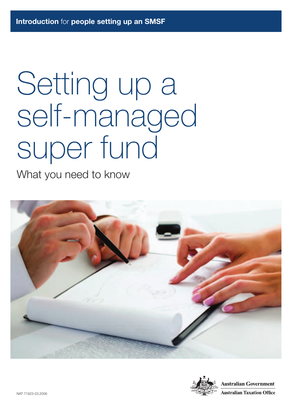# Setting up a self-managed super fund

What you need to know



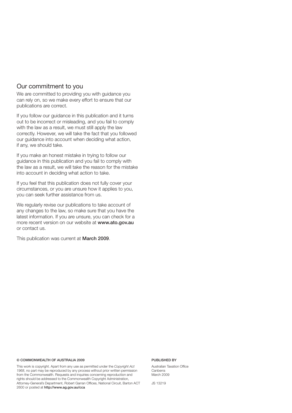#### Our commitment to you

We are committed to providing you with guidance you can rely on, so we make every effort to ensure that our publications are correct.

If you follow our guidance in this publication and it turns out to be incorrect or misleading, and you fail to comply with the law as a result, we must still apply the law correctly. However, we will take the fact that you followed our guidance into account when deciding what action, if any, we should take.

If you make an honest mistake in trying to follow our guidance in this publication and you fail to comply with the law as a result, we will take the reason for the mistake into account in deciding what action to take.

If you feel that this publication does not fully cover your circumstances, or you are unsure how it applies to you, you can seek further assistance from us.

We regularly revise our publications to take account of any changes to the law, so make sure that you have the latest information. If you are unsure, you can check for a more recent version on our website at **www.ato.gov.au**  or contact us.

This publication was current at **March 2009**.

#### **© COMMONWEALTH OF AUSTRALIA 2009**

This work is copyright. Apart from any use as permitted under the *Copyright Act 1968*, no part may be reproduced by any process without prior written permission from the Commonwealth. Requests and inquiries concerning reproduction and rights should be addressed to the Commonwealth Copyright Administration, Attorney-General's Department, Robert Garran Offices, National Circuit, Barton ACT 2600 or posted at **http://www.ag.gov.au/cca**

#### **PUBLISHED BY**

Australian Taxation Office Canberra March 2009

JS 13219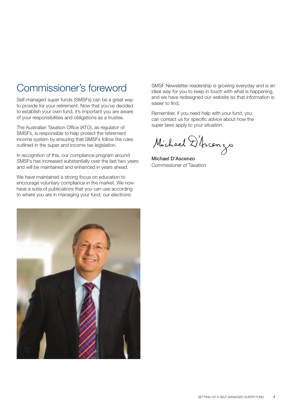## Commissioner's foreword

Self-managed super funds (SMSFs) can be a great way to provide for your retirement. Now that you've decided to establish your own fund, it's important you are aware of your responsibilities and obligations as a trustee.

The Australian Taxation Office (ATO), as regulator of SMSFs, is responsible to help protect the retirement income system by ensuring that SMSFs follow the rules outlined in the super and income tax legislation.

In recognition of this, our compliance program around SMSFs has increased substantially over the last two years and will be maintained and enhanced in years ahead.

We have maintained a strong focus on education to encourage voluntary compliance in the market. We now have a suite of publications that you can use according to where you are in managing your fund, our electronic



SMSF Newsletter readership is growing everyday and is an ideal way for you to keep in touch with what is happening, and we have redesigned our website so that information is easier to find.

Remember, if you need help with your fund, you can contact us for specific advice about how the super laws apply to your situation.

Michael D'Ascenzo

**Michael D'Ascenzo** Commissioner of Taxation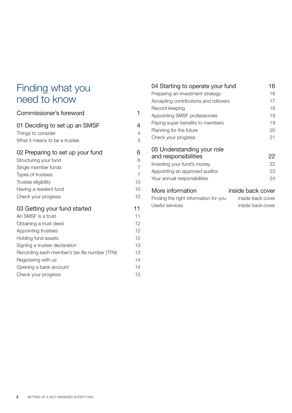## Finding what you need to know

### Commissioner's foreword 1 01 Deciding to set up an SMSF 4 Things to consider 4 What it means to be a trustee  $5$ 02 Preparing to set up your fund 6 Structuring your fund 6 Single member funds 7 Types of trustees 7 Trustee eligibility 10 Having a resident fund 10 Check your progress 10 03 Getting your fund started 11 An SMSF is a trust 11 Obtaining a trust deed 12 Appointing trustees 12 Holding fund assets 12 Signing a trustee declaration 13 Recording each member's tax file number (TFN) 13 Registering with us 14 Opening a bank account 14 Check your progress and the control of the check of the control of the check of the check of the check of the check of the check of the check of the check of the check of the check of the check of the check of the check of

| 04 Starting to operate your fund                                                                                                                    | 16                                                          |
|-----------------------------------------------------------------------------------------------------------------------------------------------------|-------------------------------------------------------------|
| Preparing an investment strategy                                                                                                                    | 16                                                          |
| Accepting contributions and rollovers                                                                                                               | 17                                                          |
| Record keeping                                                                                                                                      | 18                                                          |
| Appointing SMSF professionals                                                                                                                       | 19                                                          |
| Paying super benefits to members                                                                                                                    | 19                                                          |
| Planning for the future                                                                                                                             | 20                                                          |
| Check your progress                                                                                                                                 | 21                                                          |
| 05 Understanding your role<br>and responsibilities<br>Investing your fund's money<br>Appointing an approved auditor<br>Your annual responsibilities | 22<br>22<br>23<br>24                                        |
| More information<br>Finding the right information for you<br>Useful services                                                                        | inside back cover<br>inside back cover<br>inside back cover |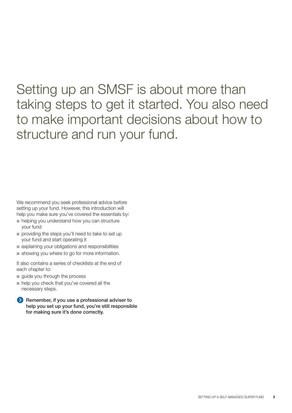## Setting up an SMSF is about more than taking steps to get it started. You also need to make important decisions about how to structure and run your fund.

We recommend you seek professional advice before setting up your fund. However, this introduction will help you make sure you've covered the essentials by:

- helping you understand how you can structure your fund
- providing the steps you'll need to take to set up your fund and start operating it
- explaining your obligations and responsibilities
- showing you where to go for more information.

It also contains a series of checklists at the end of each chapter to:

- guide you through the process
- help you check that you've covered all the necessary steps.

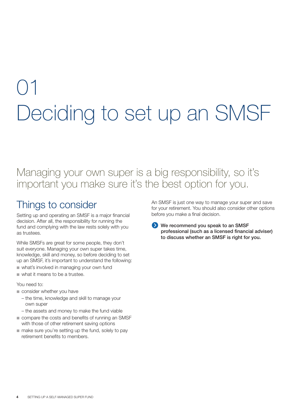## 01 Deciding to set up an SMSF

## Managing your own super is a big responsibility, so it's important you make sure it's the best option for you.

## Things to consider

Setting up and operating an SMSF is a major financial decision. After all, the responsibility for running the fund and complying with the law rests solely with you as trustees.

While SMSFs are great for some people, they don't suit everyone. Managing your own super takes time, knowledge, skill and money, so before deciding to set up an SMSF, it's important to understand the following:

- what's involved in managing your own fund
- what it means to be a trustee.

#### You need to:

- consider whether you have
	- the time, knowledge and skill to manage your own super
	- the assets and money to make the fund viable
- compare the costs and benefits of running an SMSF with those of other retirement saving options
- make sure you're setting up the fund, solely to pay retirement benefits to members.

An SMSF is just one way to manage your super and save for your retirement. You should also consider other options before you make a final decision.

**We recommend you speak to an SMSF professional (such as a licensed financial adviser) to discuss whether an SMSF is right for you.**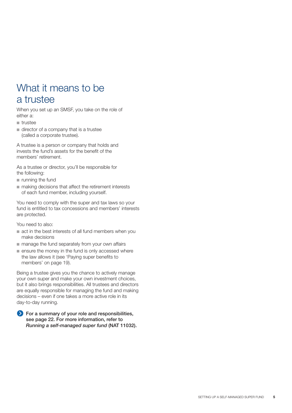## What it means to be a trustee

When you set up an SMSF, you take on the role of either a:

- trustee
- director of a company that is a trustee (called a corporate trustee).

A trustee is a person or company that holds and invests the fund's assets for the benefit of the members' retirement.

As a trustee or director, you'll be responsible for the following:

- running the fund
- making decisions that affect the retirement interests of each fund member, including yourself.

You need to comply with the super and tax laws so your fund is entitled to tax concessions and members' interests are protected.

You need to also:

- act in the best interests of all fund members when you make decisions
- manage the fund separately from your own affairs
- ensure the money in the fund is only accessed where the law allows it (see 'Paying super benefits to members' on page 19).

Being a trustee gives you the chance to actively manage your own super and make your own investment choices, but it also brings responsibilities. All trustees and directors are equally responsible for managing the fund and making decisions – even if one takes a more active role in its day-to-day running.

**For a summary of your role and responsibilities, see page 22. For more information, refer to**  *Running a self-managed super fund* **(NAT 11032).**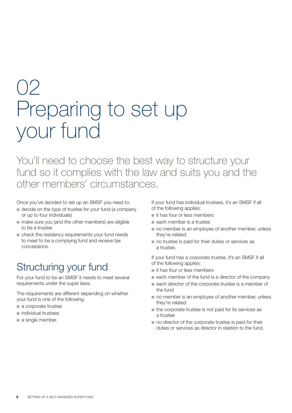## 02 Preparing to set up your fund

You'll need to choose the best way to structure your fund so it complies with the law and suits you and the other members' circumstances.

Once you've decided to set up an SMSF you need to:

- decide on the type of trustee for your fund (a company or up to four individuals)
- make sure you (and the other members) are eligible to be a trustee
- check the residency requirements your fund needs to meet to be a complying fund and receive tax concessions.

## Structuring your fund

For your fund to be an SMSF it needs to meet several requirements under the super laws.

The requirements are different depending on whether your fund is one of the following:

- a corporate trustee
- individual trustees
- a single member.

If your fund has individual trustees, it's an SMSF if all of the following applies:

- it has four or less members
- each member is a trustee
- no member is an employee of another member, unless they're related
- no trustee is paid for their duties or services as a trustee.

If your fund has a corporate trustee, it's an SMSF if all of the following applies:

- it has four or less members
- each member of the fund is a director of the company
- each director of the corporate trustee is a member of the fund
- no member is an employee of another member, unless they're related
- the corporate trustee is not paid for its services as a trustee
- no director of the corporate trustee is paid for their duties or services as director in relation to the fund.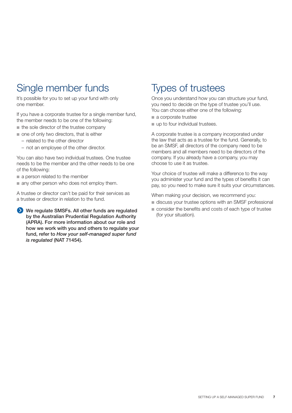## Single member funds

It's possible for you to set up your fund with only one member.

If you have a corporate trustee for a single member fund, the member needs to be one of the following:

- the sole director of the trustee company
- one of only two directors, that is either
	- related to the other director
	- not an employee of the other director.

You can also have two individual trustees. One trustee needs to be the member and the other needs to be one of the following:

- a person related to the member
- any other person who does not employ them.

A trustee or director can't be paid for their services as a trustee or director in relation to the fund.

**We regulate SMSFs. All other funds are regulated by the Australian Prudential Regulation Authority (APRA). For more information about our role and how we work with you and others to regulate your fund, refer to** *How your self-managed super fund is regulated* **(NAT 71454).**

## Types of trustees

Once you understand how you can structure your fund, you need to decide on the type of trustee you'll use. You can choose either one of the following:

- a corporate trustee
- up to four individual trustees.

A corporate trustee is a company incorporated under the law that acts as a trustee for the fund. Generally, to be an SMSF, all directors of the company need to be members and all members need to be directors of the company. If you already have a company, you may choose to use it as trustee.

Your choice of trustee will make a difference to the way you administer your fund and the types of benefits it can pay, so you need to make sure it suits your circumstances.

When making your decision, we recommend you:

- discuss your trustee options with an SMSF professional
- consider the benefits and costs of each type of trustee (for your situation).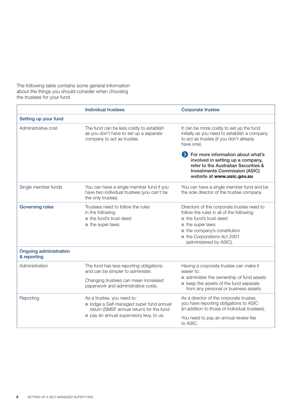The following table contains some general information about the things you should consider when choosing the trustees for your fund.

|                                              | <b>Individual trustees</b>                                                                                                                                  | <b>Corporate trustee</b>                                                                                                                                                                                                 |
|----------------------------------------------|-------------------------------------------------------------------------------------------------------------------------------------------------------------|--------------------------------------------------------------------------------------------------------------------------------------------------------------------------------------------------------------------------|
| Setting up your fund                         |                                                                                                                                                             |                                                                                                                                                                                                                          |
| Administrative cost                          | The fund can be less costly to establish<br>as you don't have to set up a separate<br>company to act as trustee.                                            | It can be more costly to set up the fund<br>initially as you need to establish a company<br>to act as trustee (if you don't already<br>have one).                                                                        |
|                                              |                                                                                                                                                             | > For more information about what's<br>involved in setting up a company,<br>refer to the Australian Securities &<br><b>Investments Commission (ASIC)</b><br>website at www.asic.gov.au                                   |
| Single member funds                          | You can have a single member fund if you<br>have two individual trustees (you can't be<br>the only trustee).                                                | You can have a single member fund and be<br>the sole director of the trustee company.                                                                                                                                    |
| <b>Governing rules</b>                       | Trustees need to follow the rules<br>in the following:<br>the fund's trust deed<br>$\blacksquare$ the super laws.                                           | Directors of the corporate trustee need to<br>follow the rules in all of the following:<br>the fund's trust deed<br>the super laws<br>the company's constitution<br>the Corporations Act 2001<br>(administered by ASIC). |
| <b>Ongoing administration</b><br>& reporting |                                                                                                                                                             |                                                                                                                                                                                                                          |
| Administration                               | The fund has less reporting obligations<br>and can be simpler to administer.<br>Changing trustees can mean increased<br>paperwork and administrative costs. | Having a corporate trustee can make it<br>easier to:<br>administer the ownership of fund assets<br>keep the assets of the fund separate<br>from any personal or business assets.                                         |
| Reporting                                    | As a trustee, you need to:<br>olodge a Self-managed super fund annual<br>return (SMSF annual return) for the fund<br>pay an annual supervisory levy, to us. | As a director of the corporate trustee,<br>you have reporting obligations to ASIC<br>(in addition to those of individual trustees).<br>You need to pay an annual review fee<br>to ASIC.                                  |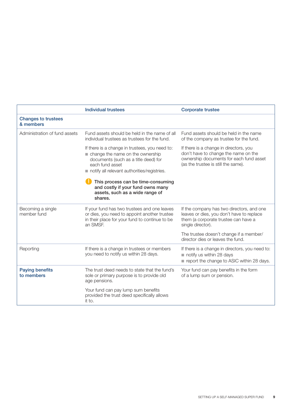|                                         | <b>Individual trustees</b>                                                                                                                                                                   | <b>Corporate trustee</b>                                                                                                                                         |
|-----------------------------------------|----------------------------------------------------------------------------------------------------------------------------------------------------------------------------------------------|------------------------------------------------------------------------------------------------------------------------------------------------------------------|
| <b>Changes to trustees</b><br>& members |                                                                                                                                                                                              |                                                                                                                                                                  |
| Administration of fund assets           | Fund assets should be held in the name of all<br>individual trustees as trustees for the fund.                                                                                               | Fund assets should be held in the name<br>of the company as trustee for the fund.                                                                                |
|                                         | If there is a change in trustees, you need to:<br>change the name on the ownership<br>documents (such as a title deed) for<br>each fund asset<br>notify all relevant authorities/registries. | If there is a change in directors, you<br>don't have to change the name on the<br>ownership documents for each fund asset<br>(as the trustee is still the same). |
|                                         | This process can be time-consuming<br>and costly if your fund owns many<br>assets, such as a wide range of<br>shares.                                                                        |                                                                                                                                                                  |
| Becoming a single<br>member fund        | If your fund has two trustees and one leaves<br>or dies, you need to appoint another trustee<br>in their place for your fund to continue to be<br>an SMSF.                                   | If the company has two directors, and one<br>leaves or dies, you don't have to replace<br>them (a corporate trustee can have a<br>single director).              |
|                                         |                                                                                                                                                                                              | The trustee doesn't change if a member/<br>director dies or leaves the fund.                                                                                     |
| Reporting                               | If there is a change in trustees or members<br>you need to notify us within 28 days.                                                                                                         | If there is a change in directors, you need to:<br>notify us within 28 days<br>report the change to ASIC within 28 days.                                         |
| <b>Paying benefits</b><br>to members    | The trust deed needs to state that the fund's<br>sole or primary purpose is to provide old<br>age pensions.                                                                                  | Your fund can pay benefits in the form<br>of a lump sum or pension.                                                                                              |
|                                         | Your fund can pay lump sum benefits<br>provided the trust deed specifically allows<br>it to.                                                                                                 |                                                                                                                                                                  |

 $\overline{1}$ 

h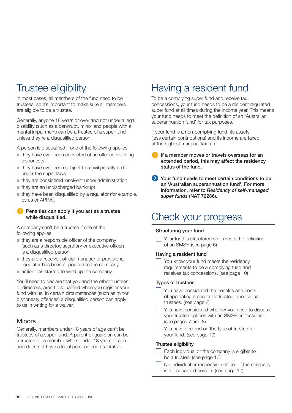## Trustee eligibility

In most cases, all members of the fund need to be trustees, so it's important to make sure all members are eligible to be a trustee.

Generally, anyone 18 years or over and not under a legal disability (such as a bankrupt, minor and people with a mental impairment) can be a trustee of a super fund unless they're a disqualified person.

A person is disqualified if one of the following applies:

- they have ever been convicted of an offence involving dishonesty
- they have ever been subject to a civil penalty order under the super laws
- they are considered insolvent under administration
- they are an undischarged bankrupt
- they have been disqualified by a regulator (for example, by us or APRA).

#### **Penalties can apply if you act as a trustee while disqualified.**

A company can't be a trustee if one of the following applies:

- $\blacksquare$  they are a responsible officer of the company (such as a director, secretary or executive officer) is a disqualified person
- they are a receiver, official manager or provisional liquidator has been appointed to the company
- action has started to wind up the company.

You'll need to declare that you and the other trustees or directors, aren't disqualified when you register your fund with us. In certain circumstances (such as minor dishonesty offences) a disqualified person can apply to us in writing for a waiver.

#### **Minors**

Generally, members under 18 years of age can't be trustees of a super fund. A parent or guardian can be a trustee for a member who's under 18 years of age and does not have a legal personal representative.

## Having a resident fund

To be a complying super fund and receive tax concessions, your fund needs to be a resident regulated super fund at all times during the income year. This means your fund needs to meet the definition of an 'Australian' superannuation fund' for tax purposes.

If your fund is a non-complying fund, its assets (less certain contributions) and its income are taxed at the highest marginal tax rate.

- **If a member moves or travels overseas for an extended period, this may affect the residency status of the fund.**
- **Your fund needs to meet certain conditions to be an 'Australian superannuation fund'. For more information, refer to** *Residency of self-managed super funds* **(NAT 72286).**

## Check your progress

#### **Structuring your fund**

 $\Box$  Your fund is structured so it meets the definition of an SMSF. (see page 6)

#### **Having a resident fund**

**Solut Know your fund meets the residency** requirements to be a complying fund and receives tax concessions. (see page 10)

#### **Types of trustees**

- You have considered the benefits and costs of appointing a corporate trustee or individual trustees. (see page 8)
- You have considered whether you need to discuss your trustee options with an SMSF professional. (see pages 7 and 8)
- $\vert$  You have decided on the type of trustee for your fund. (see page 10)

#### **Trustee eligibility**

- $\Box$  Each individual or the company is eligible to be a trustee. (see page 10)
- No individual or responsible officer of the company is a disqualified person. (see page 10)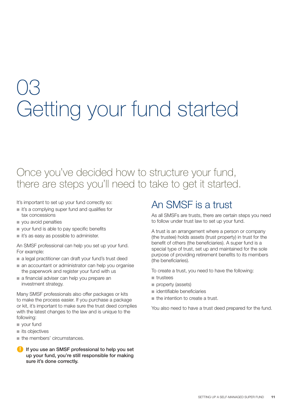## 03 Getting your fund started

## Once you've decided how to structure your fund, there are steps you'll need to take to get it started.

It's important to set up your fund correctly so:

- it's a complying super fund and qualifies for tax concessions
- you avoid penalties
- your fund is able to pay specific benefits
- it's as easy as possible to administer.

An SMSF professional can help you set up your fund. For example:

- a legal practitioner can draft your fund's trust deed
- an accountant or administrator can help you organise the paperwork and register your fund with us
- a financial adviser can help you prepare an investment strategy.

Many SMSF professionals also offer packages or kits to make the process easier. If you purchase a package or kit, it's important to make sure the trust deed complies with the latest changes to the law and is unique to the following:

- your fund
- its objectives
- the members' circumstances.
- **If you use an SMSF professional to help you set up your fund, you're still responsible for making sure it's done correctly.**

## An SMSF is a trust

As all SMSFs are trusts, there are certain steps you need to follow under trust law to set up your fund.

A trust is an arrangement where a person or company (the trustee) holds assets (trust property) in trust for the benefit of others (the beneficiaries). A super fund is a special type of trust, set up and maintained for the sole purpose of providing retirement benefits to its members (the beneficiaries).

To create a trust, you need to have the following:

- trustees
- property (assets)
- identifiable beneficiaries
- the intention to create a trust.

You also need to have a trust deed prepared for the fund.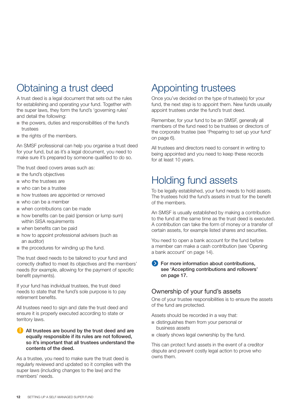## Obtaining a trust deed

A trust deed is a legal document that sets out the rules for establishing and operating your fund. Together with the super laws, they form the fund's 'governing rules' and detail the following:

- the powers, duties and responsibilities of the fund's trustees
- the rights of the members.

An SMSF professional can help you organise a trust deed for your fund, but as it's a legal document, you need to make sure it's prepared by someone qualified to do so.

The trust deed covers areas such as:

- the fund's objectives
- who the trustees are
- who can be a trustee
- how trustees are appointed or removed
- who can be a member
- when contributions can be made
- how benefits can be paid (pension or lump sum) within SISA requirements
- when benefits can be paid
- how to appoint professional advisers (such as an auditor)
- the procedures for winding up the fund.

The trust deed needs to be tailored to your fund and correctly drafted to meet its objectives and the members' needs (for example, allowing for the payment of specific benefit payments).

If your fund has individual trustees, the trust deed needs to state that the fund's sole purpose is to pay retirement benefits.

All trustees need to sign and date the trust deed and ensure it is properly executed according to state or territory laws.

#### **All trustees are bound by the trust deed and are equally responsible if its rules are not followed, so it's important that all trustees understand the contents of the deed.**

As a trustee, you need to make sure the trust deed is regularly reviewed and updated so it complies with the super laws (including changes to the law) and the members' needs.

## Appointing trustees

Once you've decided on the type of trustee(s) for your fund, the next step is to appoint them. New funds usually appoint trustees under the fund's trust deed.

Remember, for your fund to be an SMSF, generally all members of the fund need to be trustees or directors of the corporate trustee (see 'Preparing to set up your fund' on page 6).

All trustees and directors need to consent in writing to being appointed and you need to keep these records for at least 10 years.

## Holding fund assets

To be legally established, your fund needs to hold assets. The trustees hold the fund's assets in trust for the benefit of the members.

An SMSF is usually established by making a contribution to the fund at the same time as the trust deed is executed. A contribution can take the form of money or a transfer of certain assets, for example listed shares and securities.

You need to open a bank account for the fund before a member can make a cash contribution (see 'Opening a bank account' on page 14).

#### **For more information about contributions. see 'Accepting contributions and rollovers' on page 17.**

#### Ownership of your fund's assets

One of your trustee responsibilities is to ensure the assets of the fund are protected.

Assets should be recorded in a way that:

- distinguishes them from your personal or business assets
- clearly shows legal ownership by the fund.

This can protect fund assets in the event of a creditor dispute and prevent costly legal action to prove who owns them.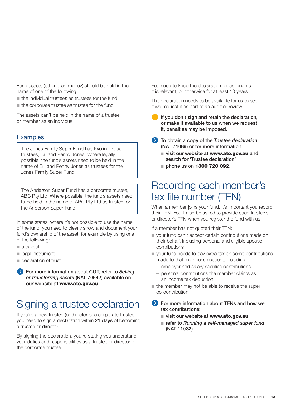Fund assets (other than money) should be held in the name of one of the following:

- the individual trustees as trustees for the fund
- the corporate trustee as trustee for the fund.

The assets can't be held in the name of a trustee or member as an individual.

#### **Examples**

The Jones Family Super Fund has two individual trustees, Bill and Penny Jones. Where legally possible, the fund's assets need to be held in the name of Bill and Penny Jones as trustees for the Jones Family Super Fund.

The Anderson Super Fund has a corporate trustee, ABC Pty Ltd. Where possible, the fund's assets need to be held in the name of ABC Pty Ltd as trustee for the Anderson Super Fund.

In some states, where it's not possible to use the name of the fund, you need to clearly show and document your fund's ownership of the asset, for example by using one of the following:

- a caveat
- legal instrument
- declaration of trust.
- **For more information about CGT, refer to** *Selling or transferring assets* **(NAT 70642) available on our website at www.ato.gov.au**

## Signing a trustee declaration

If you're a new trustee (or director of a corporate trustee) you need to sign a declaration within **21 days** of becoming a trustee or director.

By signing the declaration, you're stating you understand your duties and responsibilities as a trustee or director of the corporate trustee.

You need to keep the declaration for as long as it is relevant, or otherwise for at least 10 years.

The declaration needs to be available for us to see if we request it as part of an audit or review.

- **If you don't sign and retain the declaration, or make it available to us when we request it, penalties may be imposed.**
- **To obtain a copy of the** *Trustee declaration* **(NAT 71089) or for more information:**
	- visit our website at **www.ato.gov.au** and **search for 'Trustee declaration'**
	- **phone us on 1300 720 092.**

### Recording each member's tax file number (TFN)

When a member joins your fund, it's important you record their TFN. You'll also be asked to provide each trustee's or director's TFN when you register the fund with us.

If a member has not quoted their TFN:

- your fund can't accept certain contributions made on their behalf, including personal and eligible spouse contributions
- your fund needs to pay extra tax on some contributions made to that member's account, including
	- employer and salary sacrifice contributions
	- personal contributions the member claims as an income tax deduction
- the member may not be able to receive the super co-contribution.
- **For more information about TFNs and how we tax contributions:**
	- ■ **visit our website at www.ato.gov.au**
	- refer to *Running a self-managed super fund* **(NAT 11032).**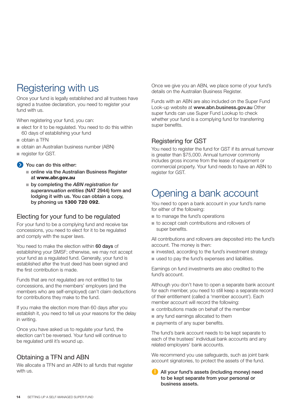## Registering with us

Once your fund is legally established and all trustees have signed a trustee declaration, you need to register your fund with us.

When registering your fund, you can:

- elect for it to be regulated. You need to do this within 60 days of establishing your fund
- obtain a TFN
- obtain an Australian business number (ABN)
- register for GST.
- **You can do this either:**
	- online via the Australian Business Register **at www.abr.gov.au**
	- by completing the *ABN registration for superannuation entities* **(NAT 2944) form and lodging it with us. You can obtain a copy, by phoning us 1300 720 092.**

#### Electing for your fund to be regulated

For your fund to be a complying fund and receive tax concessions, you need to elect for it to be regulated and comply with the super laws.

You need to make the election within **60 days** of establishing your SMSF; otherwise, we may not accept your fund as a regulated fund. Generally, your fund is established after the trust deed has been signed and the first contribution is made.

Funds that are not regulated are not entitled to tax concessions, and the members' employers (and the members who are self-employed) can't claim deductions for contributions they make to the fund.

If you make the election more than 60 days after you establish it, you need to tell us your reasons for the delay in writing.

Once you have asked us to regulate your fund, the election can't be reversed. Your fund will continue to be regulated until it's wound up.

#### Obtaining a TFN and ABN

We allocate a TFN and an ABN to all funds that register with us.

Once we give you an ABN, we place some of your fund's details on the Australian Business Register.

Funds with an ABN are also included on the Super Fund Look-up website at **www.abn.business.gov.au** Other super funds can use Super Fund Lookup to check whether your fund is a complying fund for transferring super benefits.

#### Registering for GST

You need to register the fund for GST if its annual turnover is greater than \$75,000. Annual turnover commonly includes gross income from the lease of equipment or commercial property. Your fund needs to have an ABN to register for GST.

## Opening a bank account

You need to open a bank account in your fund's name for either of the following:

- to manage the fund's operations
- to accept cash contributions and rollovers of super benefits.

All contributions and rollovers are deposited into the fund's account. The money is then:

- invested, according to the fund's investment strategy
- used to pay the fund's expenses and liabilities.

Earnings on fund investments are also credited to the fund's account.

Although you don't have to open a separate bank account for each member, you need to still keep a separate record of their entitlement (called a 'member account'). Each member account will record the following:

- contributions made on behalf of the member
- any fund earnings allocated to them
- payments of any super benefits.

The fund's bank account needs to be kept separate to each of the trustees' individual bank accounts and any related employers' bank accounts.

We recommend you use safeguards, such as joint bank account signatories, to protect the assets of the fund.

**All your fund's assets (including money) need to be kept separate from your personal or business assets.**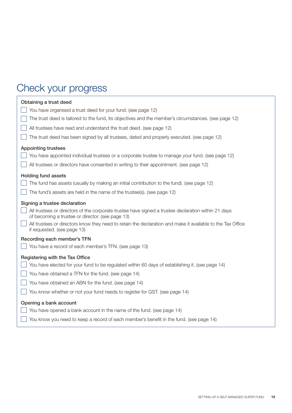## Check your progress

| Obtaining a trust deed                                                                                                                                                                                                                                                                                                                |
|---------------------------------------------------------------------------------------------------------------------------------------------------------------------------------------------------------------------------------------------------------------------------------------------------------------------------------------|
| You have organised a trust deed for your fund. (see page 12)                                                                                                                                                                                                                                                                          |
| The trust deed is tailored to the fund, its objectives and the member's circumstances. (see page 12)                                                                                                                                                                                                                                  |
| All trustees have read and understand the trust deed. (see page 12)                                                                                                                                                                                                                                                                   |
| The trust deed has been signed by all trustees, dated and properly executed. (see page 12)                                                                                                                                                                                                                                            |
| <b>Appointing trustees</b>                                                                                                                                                                                                                                                                                                            |
| You have appointed individual trustees or a corporate trustee to manage your fund. (see page 12)                                                                                                                                                                                                                                      |
| All trustees or directors have consented in writing to their appointment. (see page 12)                                                                                                                                                                                                                                               |
| <b>Holding fund assets</b>                                                                                                                                                                                                                                                                                                            |
| The fund has assets (usually by making an initial contribution to the fund). (see page 12)                                                                                                                                                                                                                                            |
| The fund's assets are held in the name of the trustee(s). (see page 12)                                                                                                                                                                                                                                                               |
| Signing a trustee declaration<br>All trustees or directors of the corporate trustee have signed a trustee declaration within 21 days<br>of becoming a trustee or director. (see page 13)<br>All trustees or directors know they need to retain the declaration and make it available to the Tax Office<br>if requested. (see page 13) |
| Recording each member's TFN                                                                                                                                                                                                                                                                                                           |
| You have a record of each member's TFN. (see page 13)                                                                                                                                                                                                                                                                                 |
| Registering with the Tax Office                                                                                                                                                                                                                                                                                                       |
| You have elected for your fund to be regulated within 60 days of establishing it. (see page 14)                                                                                                                                                                                                                                       |
| You have obtained a TFN for the fund. (see page 14)                                                                                                                                                                                                                                                                                   |
| You have obtained an ABN for the fund. (see page 14)                                                                                                                                                                                                                                                                                  |
| You know whether or not your fund needs to register for GST. (see page 14)                                                                                                                                                                                                                                                            |
| Opening a bank account                                                                                                                                                                                                                                                                                                                |
| You have opened a bank account in the name of the fund. (see page 14)                                                                                                                                                                                                                                                                 |
| You know you need to keep a record of each member's benefit in the fund. (see page 14)                                                                                                                                                                                                                                                |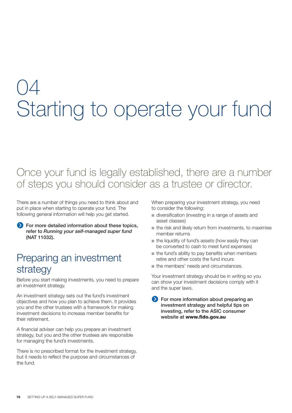## 04 Starting to operate your fund

## Once your fund is legally established, there are a number of steps you should consider as a trustee or director.

There are a number of things you need to think about and put in place when starting to operate your fund. The following general information will help you get started.

**For more detailed information about these topics, refer to** *Running your self-managed super fund* **(NAT 11032).**

## Preparing an investment strategy

Before you start making investments, you need to prepare an investment strategy.

An investment strategy sets out the fund's investment objectives and how you plan to achieve them. It provides you and the other trustees with a framework for making investment decisions to increase member benefits for their retirement.

A financial adviser can help you prepare an investment strategy, but you and the other trustees are responsible for managing the fund's investments.

There is no prescribed format for the investment strategy, but it needs to reflect the purpose and circumstances of the fund.

When preparing your investment strategy, you need to consider the following:

- diversification (investing in a range of assets and asset classes)
- the risk and likely return from investments, to maximise member returns
- the liquidity of fund's assets (how easily they can be converted to cash to meet fund expenses)
- the fund's ability to pay benefits when members retire and other costs the fund incurs
- the members' needs and circumstances.

Your investment strategy should be in writing so you can show your investment decisions comply with it and the super laws.

**For more information about preparing an investment strategy and helpful tips on investing, refer to the ASIC consumer website at www.fido.gov.au**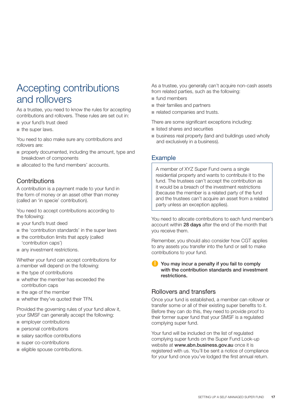## Accepting contributions and rollovers

As a trustee, you need to know the rules for accepting contributions and rollovers. These rules are set out in:

- your fund's trust deed
- the super laws.

You need to also make sure any contributions and rollovers are:

- properly documented, including the amount, type and breakdown of components
- allocated to the fund members' accounts.

#### **Contributions**

A contribution is a payment made to your fund in the form of money or an asset other than money (called an 'in specie' contribution).

You need to accept contributions according to the following:

- your fund's trust deed
- the 'contribution standards' in the super laws
- the contribution limits that apply (called 'contribution caps')
- any investment restrictions.

Whether your fund can accept contributions for a member will depend on the following:

- the type of contributions
- whether the member has exceeded the contribution caps
- the age of the member
- whether they've quoted their TFN.

Provided the governing rules of your fund allow it, your SMSF can generally accept the following:

- employer contributions
- personal contributions
- salary sacrifice contributions
- super co-contributions
- eligible spouse contributions.

As a trustee, you generally can't acquire non-cash assets from related parties, such as the following:

- fund members
- their families and partners
- related companies and trusts.

There are some significant exceptions including:

- listed shares and securities
- business real property (land and buildings used wholly and exclusively in a business).

#### Example

A member of XYZ Super Fund owns a single residential property and wants to contribute it to the fund. The trustees can't accept the contribution as it would be a breach of the investment restrictions (because the member is a related party of the fund and the trustees can't acquire an asset from a related party unless an exception applies).

You need to allocate contributions to each fund member's account within **28 days** after the end of the month that you receive them.

Remember, you should also consider how CGT applies to any assets you transfer into the fund or sell to make contributions to your fund.

**You may incur a penalty if you fail to comply with the contribution standards and investment restrictions.**

#### Rollovers and transfers

Once your fund is established, a member can rollover or transfer some or all of their existing super benefits to it. Before they can do this, they need to provide proof to their former super fund that your SMSF is a regulated complying super fund.

Your fund will be included on the list of regulated complying super funds on the Super Fund Look-up website at **www.abn.business.gov.au** once it is registered with us. You'll be sent a notice of compliance for your fund once you've lodged the first annual return.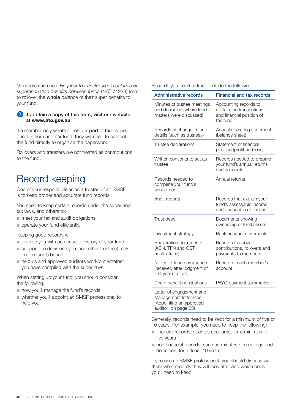Members can use a *Request to transfer whole balance of*  superannuation benefits between funds (NAT 71223) form to rollover the **whole** balance of their super benefits to your fund.

#### **To obtain a copy of this form, visit our website at www.ato.gov.au**

If a member only wants to rollover **part** of their super benefits from another fund, they will need to contact the fund directly to organise the paperwork.

Rollovers and transfers are not treated as contributions to the fund.

## Record keeping

One of your responsibilities as a trustee of an SMSF is to keep proper and accurate fund records.

You need to keep certain records under the super and tax laws, and others to:

- meet your tax and audit obligations
- operate your fund efficiently.

Keeping good records will:

- provide you with an accurate history of your fund
- support the decisions you (and other trustees) make on the fund's behalf
- help us and approved auditors work out whether you have complied with the super laws.

When setting up your fund, you should consider the following:

- how you'll manage the fund's records
- whether you'll appoint an SMSF professional to help you.

Records you need to keep include the following.

| <b>Administrative records</b>                                                                         | <b>Financial and tax records</b>                                                           |
|-------------------------------------------------------------------------------------------------------|--------------------------------------------------------------------------------------------|
| Minutes of trustee meetings<br>and decisions (where fund<br>matters were discussed)                   | Accounting records to<br>explain the transactions<br>and financial position of<br>the fund |
| Records of change in fund<br>details (such as trustees)                                               | Annual operating statement<br>(balance sheet)                                              |
| Trustee declarations                                                                                  | Statement of financial<br>position (profit and loss)                                       |
| Written consents to act as<br>trustee                                                                 | Records needed to prepare<br>your fund's annual returns<br>and accounts                    |
| Records needed to<br>complete your fund's<br>annual audit                                             | Annual returns                                                                             |
| Audit reports                                                                                         | Records that explain your<br>fund's assessable income<br>and deductible expenses           |
| Trust deed                                                                                            | Documents showing<br>ownership of fund assets                                              |
| Investment strategy                                                                                   | Bank account statements                                                                    |
| Registration documents<br>(ABN, TFN and GST<br>notifications)                                         | Records to show<br>contributions, rollovers and<br>payments to members                     |
| Notice of fund compliance<br>(received after lodgment of<br>first year's return)                      | Record of each member's<br>account                                                         |
| Death benefit nominations                                                                             | PAYG payment summaries                                                                     |
| Letter of engagement and<br>Management letter (see<br>'Appointing an approved<br>auditor' on page 23) |                                                                                            |

Generally, records need to be kept for a minimum of five or 10 years. For example, you need to keep the following:

- financial records, such as accounts, for a minimum of five years
- non-financial records, such as minutes of meetings and decisions, for at least 10 years.

If you use an SMSF professional, you should discuss with them what records they will look after and which ones you'll need to keep.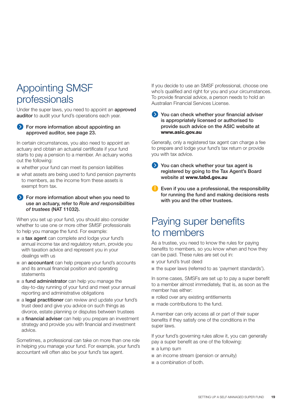## Appointing SMSF professionals

Under the super laws, you need to appoint an **approved auditor** to audit your fund's operations each year.

#### **For more information about appointing an approved auditor, see page 23.**

In certain circumstances, you also need to appoint an actuary and obtain an actuarial certificate if your fund starts to pay a pension to a member. An actuary works out the following:

- whether your fund can meet its pension liabilities
- what assets are being used to fund pension payments to members, as the income from these assets is exempt from tax.

#### **For more information about when you need to use an actuary, refer to** *Role and responsibilities of trustees* **(NAT 11032).**

When you set up your fund, you should also consider whether to use one or more other SMSF professionals to help you manage the fund. For example:

- a **tax agent** can complete and lodge your fund's annual income tax and regulatory return, provide you with taxation advice and represent you in your dealings with us
- an **accountant** can help prepare your fund's accounts and its annual financial position and operating statements
- a **fund administrator** can help you manage the day-to-day running of your fund and meet your annual reporting and administrative obligations
- a **legal practitioner** can review and update your fund's trust deed and give you advice on such things as divorce, estate planning or disputes between trustees
- a **financial adviser** can help you prepare an investment strategy and provide you with financial and investment advice.

Sometimes, a professional can take on more than one role in helping you manage your fund. For example, your fund's accountant will often also be your fund's tax agent.

If you decide to use an SMSF professional, choose one who's qualified and right for you and your circumstances. To provide financial advice, a person needs to hold an Australian Financial Services License.

**You can check whether your financial adviser is appropriately licensed or authorised to provide such advice on the ASIC website at www.asic.gov.au**

Generally, only a registered tax agent can charge a fee to prepare and lodge your fund's tax return or provide you with tax advice.

- **You can check whether your tax agent is registered by going to the Tax Agent's Board website at www.tabd.gov.au**
- **Even if you use a professional, the responsibility for running the fund and making decisions rests with you and the other trustees.**

## Paying super benefits to members

As a trustee, you need to know the rules for paying benefits to members, so you know when and how they can be paid. These rules are set out in:

- your fund's trust deed
- the super laws (referred to as 'payment standards').

In some cases, SMSFs are set up to pay a super benefit to a member almost immediately, that is, as soon as the member has either:

- rolled over any existing entitlements
- made contributions to the fund.

A member can only access all or part of their super benefits if they satisfy one of the conditions in the super laws.

If your fund's governing rules allow it, you can generally pay a super benefit as one of the following:

- a lump sum
- an income stream (pension or annuity)
- a combination of both.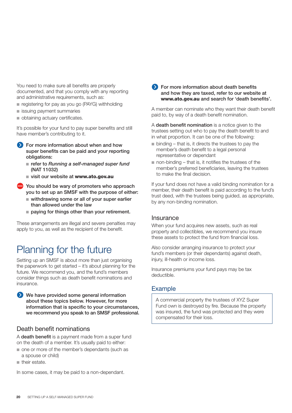You need to make sure all benefits are properly documented, and that you comply with any reporting and administrative requirements, such as:

- registering for pay as you go (PAYG) withholding
- issuing payment summaries
- obtaining actuary certificates.

It's possible for your fund to pay super benefits and still have member's contributing to it.

- **For more information about when and how super benefits can be paid and your reporting obligations:**
	- refer to *Running a self-managed super fund* **(NAT 11032)**
	- visit our website at **www.ato.gov.au**
- **You should be wary of promoters who approach you to set up an SMSF with the purpose of either:** 
	- withdrawing some or all of your super earlier **than allowed under the law**
	- paying for things other than your retirement.

These arrangements are illegal and severe penalties may apply to you, as well as the recipient of the benefit.

### Planning for the future

Setting up an SMSF is about more than just organising the paperwork to get started – it's about planning for the future. We recommend you, and the fund's members consider things such as death benefit nominations and insurance.

**We have provided some general information about these topics below. However, for more information that is specific to your circumstances, we recommend you speak to an SMSF professional.**

#### Death benefit nominations

A **death benefit** is a payment made from a super fund on the death of a member. It's usually paid to either:

- one or more of the member's dependants (such as a spouse or child)
- their estate.

In some cases, it may be paid to a non-dependant.

#### **For more information about death benefits and how they are taxed, refer to our website at www.ato.gov.au and search for 'death benefits'.**

A member can nominate who they want their death benefit paid to, by way of a death benefit nomination.

A **death benefit nomination** is a notice given to the trustees setting out who to pay the death benefit to and in what proportion. It can be one of the following:

- binding that is, it directs the trustees to pay the member's death benefit to a legal personal representative or dependant
- $\blacksquare$  non-binding that is, it notifies the trustees of the member's preferred beneficiaries, leaving the trustees to make the final decision.

If your fund does not have a valid binding nomination for a member, their death benefit is paid according to the fund's trust deed, with the trustees being guided, as appropriate, by any non-binding nomination.

#### **Insurance**

When your fund acquires new assets, such as real property and collectibles, we recommend you insure these assets to protect the fund from financial loss.

Also consider arranging insurance to protect your fund's members (or their dependants) against death, injury, ill-health or income loss.

Insurance premiums your fund pays may be tax deductible.

#### Example

A commercial property the trustees of XYZ Super Fund own is destroyed by fire. Because the property was insured, the fund was protected and they were compensated for their loss.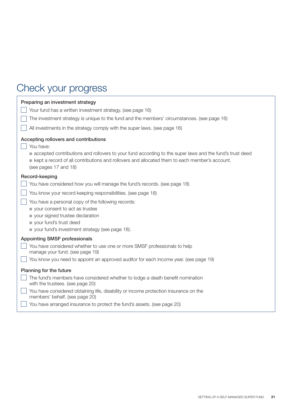## Check your progress

| Preparing an investment strategy<br>Your fund has a written investment strategy. (see page 16)<br>The investment strategy is unique to the fund and the members' circumstances. (see page 16)<br>All investments in the strategy comply with the super laws. (see page 16)                                                                                         |
|--------------------------------------------------------------------------------------------------------------------------------------------------------------------------------------------------------------------------------------------------------------------------------------------------------------------------------------------------------------------|
| Accepting rollovers and contributions<br>You have:<br>accepted contributions and rollovers to your fund according to the super laws and the fund's trust deed<br>kept a record of all contributions and rollovers and allocated them to each member's account.<br>(see pages 17 and 18)                                                                            |
| Record-keeping<br>You have considered how you will manage the fund's records. (see page 18)<br>You know your record keeping responsibilities. (see page 18)<br>You have a personal copy of the following records:<br>vour consent to act as trustee<br>vour signed trustee declaration<br>vour fund's trust deed<br>your fund's investment strategy (see page 18). |
| <b>Appointing SMSF professionals</b><br>You have considered whether to use one or more SMSF professionals to help<br>manage your fund. (see page 19)<br>You know you need to appoint an approved auditor for each income year. (see page 19)                                                                                                                       |
| Planning for the future<br>The fund's members have considered whether to lodge a death benefit nomination<br>with the trustees. (see page 20)<br>You have considered obtaining life, disability or income protection insurance on the<br>members' behalf. (see page 20)<br>You have arranged insurance to protect the fund's assets. (see page 20)                 |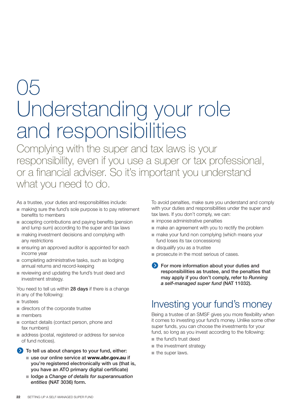## $()$ Understanding your role and responsibilities

Complying with the super and tax laws is your responsibility, even if you use a super or tax professional, or a financial adviser. So it's important you understand what you need to do.

As a trustee, your duties and responsibilities include:

- making sure the fund's sole purpose is to pay retirement benefits to members
- accepting contributions and paying benefits (pension and lump sum) according to the super and tax laws
- making investment decisions and complying with any restrictions
- ensuring an approved auditor is appointed for each income year
- completing administrative tasks, such as lodging annual returns and record-keeping
- reviewing and updating the fund's trust deed and investment strategy.

You need to tell us within **28 days** if there is a change in any of the following:

- trustees
- directors of the corporate trustee
- members
- contact details (contact person, phone and fax numbers)
- address (postal, registered or address for service of fund notices).
- **To tell us about changes to your fund, either:**
	- use our online service at **www.abr.gov.au** if **you're registered electronically with us (that is, you have an ATO primary digital certificate)**
	- lodge a *Change of details for superannuation entities* **(NAT 3036) form.**

To avoid penalties, make sure you understand and comply with your duties and responsibilities under the super and tax laws. If you don't comply, we can:

- impose administrative penalties
- make an agreement with you to rectify the problem
- make your fund non complying (which means your fund loses its tax concessions)
- disqualify you as a trustee
- prosecute in the most serious of cases.
- **For more information about your duties and responsibilities as trustee, and the penalties that may apply if you don't comply, refer to** *Running a self-managed super fund* **(NAT 11032).**

## Investing your fund's money

Being a trustee of an SMSF gives you more flexibility when it comes to investing your fund's money. Unlike some other super funds, you can choose the investments for your fund, so long as you invest according to the following:

- the fund's trust deed
- the investment strategy
- the super laws.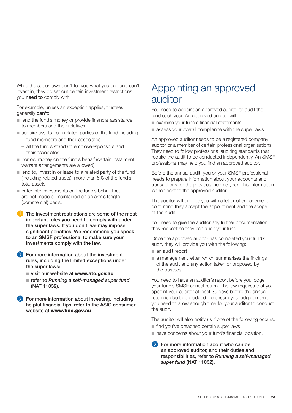While the super laws don't tell you what you can and can't invest in, they do set out certain investment restrictions you **need to** comply with.

For example, unless an exception applies, trustees generally **can't**:

- lend the fund's money or provide financial assistance to members and their relatives
- acquire assets from related parties of the fund including
	- fund members and their associates
	- all the fund's standard employer-sponsors and their associates
- borrow money on the fund's behalf (certain instalment warrant arrangements are allowed)
- lend to, invest in or lease to a related party of the fund (including related trusts), more than 5% of the fund's total assets
- enter into investments on the fund's behalf that are not made or maintained on an arm's length (commercial) basis.
- **The investment restrictions are some of the most important rules you need to comply with under the super laws. If you don't, we may impose significant penalties. We recommend you speak to an SMSF professional to make sure your investments comply with the law.**
- **For more information about the investment rules, including the limited exceptions under the super laws:**
	- visit our website at **www.ato.gov.au**
	- refer to Running a self-managed super fund **(NAT 11032).**
- **For more information about investing, including helpful financial tips, refer to the ASIC consumer website at www.fido.gov.au**

## Appointing an approved auditor

You need to appoint an approved auditor to audit the fund each year. An approved auditor will:

- examine your fund's financial statements
- assess your overall compliance with the super laws.

An approved auditor needs to be a registered company auditor or a member of certain professional organisations. They need to follow professional auditing standards that require the audit to be conducted independently. An SMSF professional may help you find an approved auditor.

Before the annual audit, you or your SMSF professional needs to prepare information about your accounts and transactions for the previous income year. This information is then sent to the approved auditor.

The auditor will provide you with a letter of engagement confirming they accept the appointment and the scope of the audit.

You need to give the auditor any further documentation they request so they can audit your fund.

Once the approved auditor has completed your fund's audit, they will provide you with the following:

- an audit report
- a management letter, which summarises the findings of the audit and any action taken or proposed by the trustees.

You need to have an auditor's report before you lodge your fund's SMSF annual return. The law requires that you appoint your auditor at least 30 days before the annual return is due to be lodged. To ensure you lodge on time, you need to allow enough time for your auditor to conduct the audit.

The auditor will also notify us if one of the following occurs:

- find you've breached certain super laws
- have concerns about your fund's financial position.

**For more information about who can be an approved auditor, and their duties and responsibilities, refer to** *Running a self-managed super fund* **(NAT 11032).**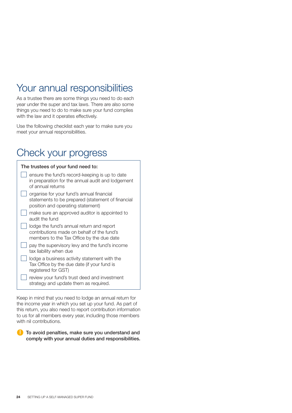## Your annual responsibilities

As a trustee there are some things you need to do each year under the super and tax laws. There are also some things you need to do to make sure your fund complies with the law and it operates effectively.

Use the following checklist each year to make sure you meet your annual responsibilities.

## Check your progress

| The trustees of your fund need to:                                                                                                   |
|--------------------------------------------------------------------------------------------------------------------------------------|
| ensure the fund's record-keeping is up to date<br>in preparation for the annual audit and lodgement<br>of annual returns             |
| organise for your fund's annual financial<br>statements to be prepared (statement of financial<br>position and operating statement)  |
| make sure an approved auditor is appointed to<br>audit the fund                                                                      |
| lodge the fund's annual return and report<br>contributions made on behalf of the fund's<br>members to the Tax Office by the due date |
| pay the supervisory levy and the fund's income<br>tax liability when due                                                             |
| lodge a business activity statement with the<br>Tax Office by the due date (if your fund is<br>registered for GST)                   |
| review your fund's trust deed and investment<br>strategy and update them as required.                                                |

Keep in mind that you need to lodge an annual return for the income year in which you set up your fund. As part of this return, you also need to report contribution information to us for all members every year, including those members with nil contributions.